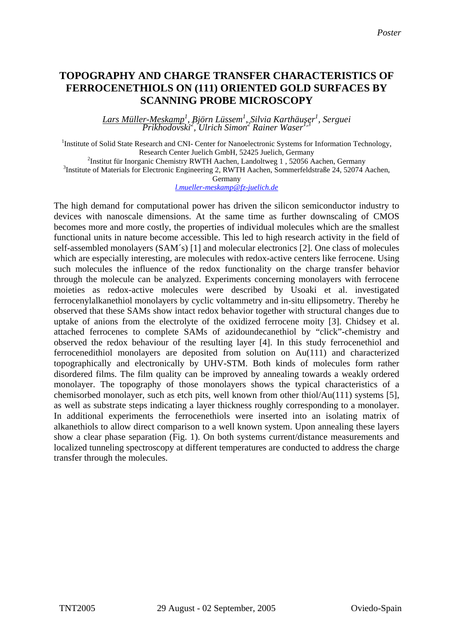## **TOPOGRAPHY AND CHARGE TRANSFER CHARACTERISTICS OF FERROCENETHIOLS ON (111) ORIENTED GOLD SURFACES BY SCANNING PROBE MICROSCOPY**

*Lars Müller-Meskamp<sup>1</sup> , Björn Lüssem1 , Silvia Karthäuser<sup>1</sup> , Serguei Prikhodovski2 , Ulrich Simon<sup>2</sup> Rainer Waser1,3*

<sup>1</sup>Institute of Solid State Research and CNI- Center for Nanoelectronic Systems for Information Technology, Research Center Juelich GmbH, 52425 Juelich, Germany 2 <sup>2</sup>Institut für Inorganic Chemistry RWTH Aachen, Landoltweg 1, 52056 Aachen, Germany

<sup>3</sup>Institute of Materials for Electronic Engineering 2, RWTH Aachen, Sommerfeldstraße 24, 52074 Aachen,

Germany

*[l.mueller-meskamp@fz-juelich.de](mailto:l.mueller-meskamp@fz-juelich.de)*

The high demand for computational power has driven the silicon semiconductor industry to devices with nanoscale dimensions. At the same time as further downscaling of CMOS becomes more and more costly, the properties of individual molecules which are the smallest functional units in nature become accessible. This led to high research activity in the field of self-assembled monolayers (SAM´s) [1] and molecular electronics [2]. One class of molecules which are especially interesting, are molecules with redox-active centers like ferrocene. Using such molecules the influence of the redox functionality on the charge transfer behavior through the molecule can be analyzed. Experiments concerning monolayers with ferrocene moieties as redox-active molecules were described by Usoaki et al. investigated ferrocenylalkanethiol monolayers by cyclic voltammetry and in-situ ellipsometry. Thereby he observed that these SAMs show intact redox behavior together with structural changes due to uptake of anions from the electrolyte of the oxidized ferrocene moity [3]. Chidsey et al. attached ferrocenes to complete SAMs of azidoundecanethiol by "click"-chemistry and observed the redox behaviour of the resulting layer [4]. In this study ferrocenethiol and ferrocenedithiol monolayers are deposited from solution on Au(111) and characterized topographically and electronically by UHV-STM. Both kinds of molecules form rather disordered films. The film quality can be improved by annealing towards a weakly ordered monolayer. The topography of those monolayers shows the typical characteristics of a chemisorbed monolayer, such as etch pits, well known from other thiol/Au(111) systems [5], as well as substrate steps indicating a layer thickness roughly corresponding to a monolayer. In additional experiments the ferrocenethiols were inserted into an isolating matrix of alkanethiols to allow direct comparison to a well known system. Upon annealing these layers show a clear phase separation (Fig. 1). On both systems current/distance measurements and localized tunneling spectroscopy at different temperatures are conducted to address the charge transfer through the molecules.